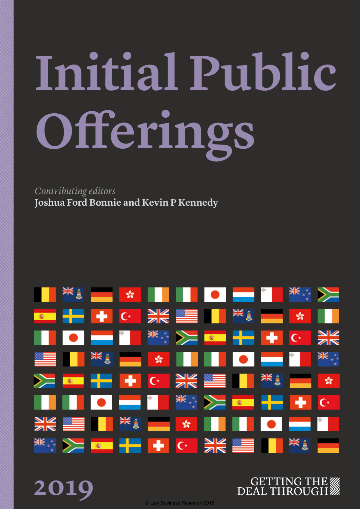# **Initial Public Offerings**

*Contributing editors* **Joshua Ford Bonnie and Kevin P Kennedy**

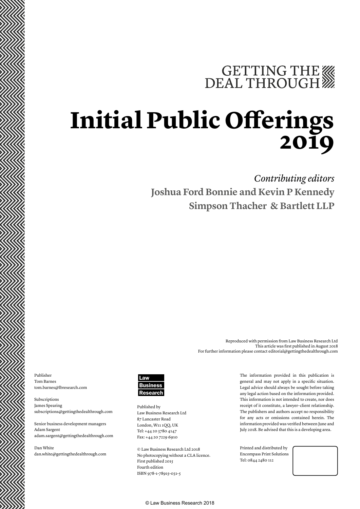### GETTING THE WE DEAL THROUGH

### **Initial Public Offerings 2019**

*Contributing editors*

**Joshua Ford Bonnie and Kevin P Kennedy Simpson Thacher & Bartlett LLP**

> Reproduced with permission from Law Business Research Ltd This article was first published in August 2018 For further information please contact editorial@gettingthedealthrough.com

Publisher Tom Barnes tom.barnes@lbresearch.com

Subscriptions James Spearing subscriptions@gettingthedealthrough.com

Senior business development managers Adam Sargent adam.sargent@gettingthedealthrough.com

Dan White dan.white@gettingthedealthrough.com



Published by Law Business Research Ltd 87 Lancaster Road London, W11 1QQ, UK Tel: +44 20 3780 4147 Fax: +44 20 7229 6910

© Law Business Research Ltd 2018 No photocopying without a CLA licence. First published 2015 Fourth edition ISBN 978-1-78915-031-5

The information provided in this publication is general and may not apply in a specific situation. Legal advice should always be sought before taking any legal action based on the information provided. This information is not intended to create, nor does receipt of it constitute, a lawyer–client relationship. The publishers and authors accept no responsibility for any acts or omissions contained herein. The information provided was verified between June and July 2018. Be advised that this is a developing area.

Printed and distributed by Encompass Print Solutions Tel: 0844 2480 112

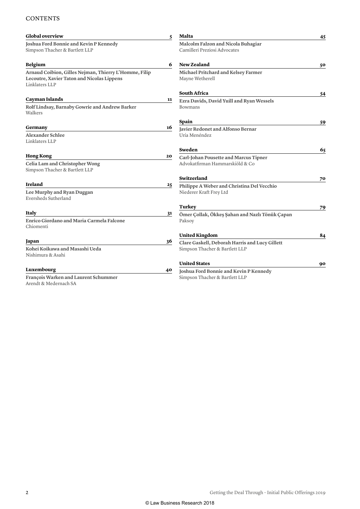#### **CONTENTS**

| <b>Global overview</b>                                                                                                | 5                                                          | <b>Malta</b>                                                                     | 45 |
|-----------------------------------------------------------------------------------------------------------------------|------------------------------------------------------------|----------------------------------------------------------------------------------|----|
| Joshua Ford Bonnie and Kevin P Kennedy<br>Simpson Thacher & Bartlett LLP                                              |                                                            | Malcolm Falzon and Nicola Buhagiar<br>Camilleri Preziosi Advocates               |    |
| <b>Belgium</b>                                                                                                        |                                                            | <b>New Zealand</b>                                                               | 50 |
| Arnaud Coibion, Gilles Nejman, Thierry L'Homme, Filip<br>Lecoutre, Xavier Taton and Nicolas Lippens<br>Linklaters LLP |                                                            | Michael Pritchard and Kelsey Farmer<br>Mayne Wetherell                           |    |
|                                                                                                                       |                                                            | <b>South Africa</b>                                                              | 54 |
| <b>Cayman Islands</b><br>Rolf Lindsay, Barnaby Gowrie and Andrew Barker<br>Walkers                                    | 11<br>Ezra Davids, David Yuill and Ryan Wessels<br>Bowmans |                                                                                  |    |
|                                                                                                                       |                                                            | Spain                                                                            | 59 |
| Germany<br>Alexander Schlee<br>Linklaters LLP                                                                         |                                                            | Javier Redonet and Alfonso Bernar<br>Uría Menéndez                               |    |
|                                                                                                                       |                                                            | Sweden                                                                           | 65 |
| <b>Hong Kong</b><br>Celia Lam and Christopher Wong<br>Simpson Thacher & Bartlett LLP                                  | 20                                                         | Carl-Johan Pousette and Marcus Tipner<br>Advokatfirman Hammarskiöld & Co         |    |
|                                                                                                                       |                                                            | Switzerland                                                                      | 70 |
| <b>Ireland</b><br>Lee Murphy and Ryan Duggan<br>Eversheds Sutherland                                                  | 25                                                         | Philippe A Weber and Christina Del Vecchio<br>Niederer Kraft Frey Ltd            |    |
|                                                                                                                       |                                                            | Turkey                                                                           | 79 |
| Italy<br>Enrico Giordano and Maria Carmela Falcone<br>Chiomenti                                                       | 31                                                         | Ömer Çollak, Ökkeş Şahan and Nazlı Tönük Çapan<br>Paksoy                         |    |
|                                                                                                                       |                                                            | <b>United Kingdom</b>                                                            | 84 |
| Japan<br>Kohei Koikawa and Masashi Ueda<br>Nishimura & Asahi                                                          | 36                                                         | Clare Gaskell, Deborah Harris and Lucy Gillett<br>Simpson Thacher & Bartlett LLP |    |
|                                                                                                                       |                                                            | <b>United States</b>                                                             | 90 |
| Luxembourg                                                                                                            | 40                                                         | Joshua Ford Bonnie and Kevin P Kennedy                                           |    |
| François Warken and Laurent Schummer<br>Arendt & Medernach SA                                                         |                                                            | Simpson Thacher & Bartlett LLP                                                   |    |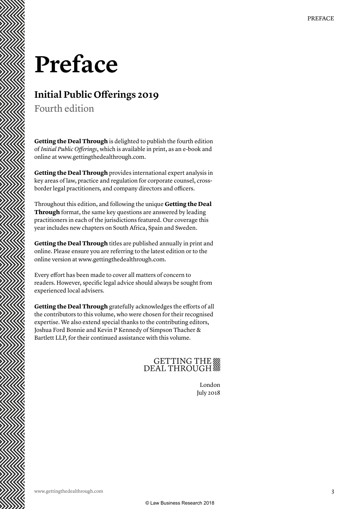### **Preface**

#### **Initial Public Offerings 2019**

Fourth edition

**Getting the Deal Through** is delighted to publish the fourth edition of *Initial Public Offerings*, which is available in print, as an e-book and online at www.gettingthedealthrough.com.

**Getting the Deal Through** provides international expert analysis in key areas of law, practice and regulation for corporate counsel, crossborder legal practitioners, and company directors and officers.

Throughout this edition, and following the unique **Getting the Deal Through** format, the same key questions are answered by leading practitioners in each of the jurisdictions featured. Our coverage this year includes new chapters on South Africa, Spain and Sweden.

**Getting the Deal Through** titles are published annually in print and online. Please ensure you are referring to the latest edition or to the online version at www.gettingthedealthrough.com.

Every effort has been made to cover all matters of concern to readers. However, specific legal advice should always be sought from experienced local advisers.

**Getting the Deal Through** gratefully acknowledges the efforts of all the contributors to this volume, who were chosen for their recognised expertise. We also extend special thanks to the contributing editors, Joshua Ford Bonnie and Kevin P Kennedy of Simpson Thacher & Bartlett LLP, for their continued assistance with this volume.

### GETTING THE

London July 2018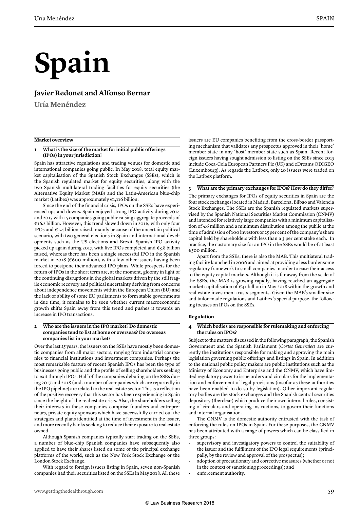## **Spain**

#### **Javier Redonet and Alfonso Bernar**

**Uría Menéndez**

#### **Market overview**

#### **1 What is the size of the market for initial public offerings (IPOs) in your jurisdiction?**

Spain has attractive regulations and trading venues for domestic and international companies going public. In May 2018, total equity market capitalisation of the Spanish Stock Exchanges (SSEs), which is the Spanish regulated market for equity securities, along with the two Spanish multilateral trading facilities for equity securities (the Alternative Equity Market (MAB) and the Latin-American blue-chip market (Latibex) was approximately €1,116 billion.

Since the end of the financial crisis, IPOs on the SSEs have experienced ups and downs. Spain enjoyed strong IPO activity during 2014 and 2015 with 15 companies going public raising aggregate proceeds of €16.2 billion. However, this trend slowed down in 2016, with only four IPOs and  $\epsilon$ 1.4 billion raised, mainly because of the uncertain political scenario, with two general elections in Spain and international developments such as the US elections and Brexit. Spanish IPO activity picked up again during 2017, with five IPOs completed and €3.8 billion raised, whereas there has been a single successful IPO in the Spanish market in 2018 ( $\epsilon$ 600 million), with a few other issuers having been forced to postpone their advanced IPO plans. While prospects for the return of IPOs in the short term are, at the moment, gloomy in light of the continuing disruptions in the global markets driven by the still fragile economic recovery and political uncertainty deriving from concerns about independence movements within the European Union (EU) and the lack of ability of some EU parliaments to form stable governments in due time, it remains to be seen whether current macroeconomic growth shifts Spain away from this trend and pushes it towards an increase in IPO transactions.

#### **2 Who are the issuers in the IPO market? Do domestic companies tend to list at home or overseas? Do overseas companies list in your market?**

Over the last 25 years, the issuers on the SSEs have mostly been domestic companies from all major sectors, ranging from industrial companies to financial institutions and investment companies. Perhaps the most remarkable feature of recent Spanish IPOs has been the type of businesses going public and the profile of selling shareholders seeking to exit through IPOs. Half of the companies debuting on the SSEs during 2017 and 2018 (and a number of companies which are reportedly in the IPO pipeline) are related to the real estate sector. This is a reflection of the positive recovery that this sector has been experiencing in Spain since the height of the real estate crisis. Also, the shareholders selling their interests in these companies comprise founders and entrepreneurs, private equity sponsors which have successfully carried out the strategies and plans identified at the time of investment in the issuer, and more recently banks seeking to reduce their exposure to real estate owned.

Although Spanish companies typically start trading on the SSEs, a number of blue-chip Spanish companies have subsequently also applied to have their shares listed on some of the principal exchange platforms of the world, such as the New York Stock Exchange or the London Stock Exchange.

With regard to foreign issuers listing in Spain, seven non-Spanish companies had their securities listed on the SSEs in May 2018. All these issuers are EU companies benefiting from the cross-border passporting mechanism that validates any prospectus approved in their 'home' member state in any 'host' member state such as Spain. Recent foreign issuers having sought admission to listing on the SSEs since 2015 include Coca-Cola European Partners Plc (UK) and eDreams ODIGEO (Luxembourg). As regards the Latibex, only 20 issuers were traded on the Latibex platform.

#### **3 What are the primary exchanges for IPOs? How do they differ?**

The primary exchanges for IPOs of equity securities in Spain are the four stock exchanges located in Madrid, Barcelona, Bilbao and Valencia Stock Exchanges. The SSEs are the Spanish regulated markets supervised by the Spanish National Securities Market Commission (CNMV) and intended for relatively large companies with a minimum capitalisation of €6 million and a minimum distribution among the public at the time of admission of 100 investors or 25 per cent of the company's share capital held by shareholders with less than a 3 per cent stake each. In practice, the customary size for an IPO in the SSEs would be of at least €500 million.

Apart from the SSEs, there is also the MAB. This multiateral trading facility launched in 2006 and aimed at providing a less burdensome regulatory framework to small companies in order to ease their access to the equity capital markets. Although it is far away from the scale of the SSEs, the MAB is growing rapidly, having reached an aggregate market capitalisation of  $\epsilon$ 41 billion in May 2018 within the growth and real estate investment trusts segments. Given the MAB's smaller size and tailor-made regulations and Latibex's special purpose, the following focuses on IPOs on the SSEs.

#### **Regulation**

#### **4 Which bodies are responsible for rulemaking and enforcing the rules on IPOs?**

Subject to the matters discussed in the following paragraph, the Spanish Government and the Spanish Parliament (*Cortes Generales*) are currently the institutions responsible for making and approving the main legislation governing public offerings and listings in Spain. In addition to the national public policy makers are public institutions such as the Ministry of Economy and Enterprise and the CNMV, which have limited regulatory power to issue orders and circulars for the implementation and enforcement of legal provisions (insofar as these authorities have been enabled to do so by legislation). Other important regulatory bodies are the stock exchanges and the Spanish central securities depository (Iberclear) which produce their own internal rules, consisting of circulars and operating instructions, to govern their functions and internal organisation.

The CNMV is the domestic authority entrusted with the task of enforcing the rules on IPOs in Spain. For these purposes, the CNMV has been attributed with a range of powers which can be classified in three groups:

- supervisory and investigatory powers to control the suitability of the issuer and the fulfilment of the IPO legal requirements (principally, by the review and approval of the prospectus);
- adoption of precautionary and corrective measures (whether or not in the context of sanctioning proceedings); and
- enforcement authority.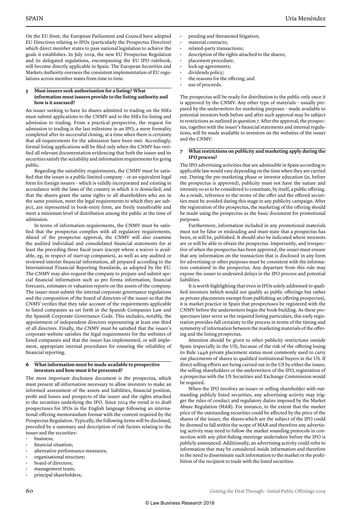On the EU front, the European Parliament and Council have adopted EU Directives relating to IPOs (particularly the Prospectus Directive) which direct member states to pass national legislation to achieve the goals it establishes. In July 2019, the new EU Prospectus Regulation and its delegated regulations, encompassing the EU IPO rulebook, will become directly applicable in Spain. The European Securities and Markets Authority oversees the consistent implementation of EU regulations across member states from time to time.

#### **5 Must issuers seek authorisation for a listing? What information must issuers provide to the listing authority and how is it assessed?**

An issuer seeking to have its shares admitted to trading on the SSEs must submit applications to the CNMV and to the SSEs for listing and admission to trading. From a practical perspective, the request for admission to trading is the last milestone in an IPO, a mere formality completed after its successful closing, at a time when there is certainty that all requirements for the admission have been met. Accordingly, formal listing applications will be filed only when the CNMV has verified all relevant documentation evidencing that both the issuer and its securities satisfy the suitability and information requirements for going public.

Regarding the suitability requirements, the CNMV must be satisfied that the issuer is a public limited company – or an equivalent legal form for foreign issuers – which is validly incorporated and existing in accordance with the laws of the country in which it is domiciled; and that the shares grant the same rights to all shareholders who are in the same position, meet the legal requirements to which they are subject, are represented in book-entry form, are freely transferable and meet a minimum level of distribution among the public at the time of admission.

In terms of information requirements, the CNMV must be satisfied that the prospectus complies with all regulatory requirements. Ahead of the prospectus approval, the CNMV will also examine the audited individual and consolidated financial statements for at least the preceding three fiscal years (except where a waiver is available, eg, in respect of start-up companies), as well as any audited or reviewed interim financial information, all prepared according to the International Financial Reporting Standards, as adopted by the EU. The CNMV may also request the company to prepare and submit special financial information such as pro forma information, financial forecasts, estimates or valuation reports on the assets of the company. The issuer must submit the internal corporate governance regulations and the composition of the board of directors of the issuer so that the CNMV verifies that they take account of the requirements applicable to listed companies as set forth in the Spanish Companies Law and the Spanish Corporate Governance Code. This includes, notably, the appointment of independent directors representing at least one third of all directors. Finally, the CNMV must be satisfied that the issuer's corporate website satisfies the legal requirements for the websites of listed companies and that the issuer has implemented, or will implement, appropriate internal procedures for ensuring the reliability of financial reporting.

#### **6 What information must be made available to prospective investors and how must it be presented?**

The most important disclosure document is the prospectus, which must present all information necessary to allow investors to make an informed assessment of the assets and liabilities, financial position, profit and losses and prospects of the issuer and the rights attached to the securities underlying the IPO. Since 2014 the trend is to draft prospectuses for IPOs in the English language following an international offering memorandum format with the content required by the Prospectus Regulation. Typically, the following items will be disclosed, preceded by a summary and description of risk factors relating to the issuer and the securities:

- business;
- financial situation;
- alternative performance measures;
- organisational structure;
- board of directors;
- management team;
- principal shareholders;
- material contracts;
- related-party transactions;
- description of the rights attached to the shares;
- placement procedure;
- lock-up agreements;
- dividends policy;
- the reasons for the offering; and
- use of proceeds.

The prospectus will be ready for distribution to the public only once it is approved by the CNMV. Any other type of materials – usually prepared by the underwriters for marketing purposes – made available to potential investors both before and after such approval may be subject to restrictions as outlined in question 7. After the approval, the prospectus, together with the issuer's financial statements and internal regulations, will be made available to investors on the websites of the issuer and the CNMV.

#### **7 What restrictions on publicity and marketing apply during the IPO process?**

The IPO advertising activities that are admissible in Spain according to applicable law would vary depending on the time when they are carried out. During the pre-marketing phase or investor education (ie, before the prospectus is approved), publicity must not have the nature and intensity so as to be considered to constitute, by itself, a public offering. As a result, reference to the terms of the offer and the offered securities must be avoided during this stage in any publicity campaign. After the registration of the prospectus, the marketing of the offering should be made using the prospectus as the basic document for promotional purposes.

Furthermore, information included in any promotional materials must not be false or misleading and must state that a prospectus has been, or will be, published. It should also be indicated where investors are or will be able to obtain the prospectus. Importantly, and irrespective of when the prospectus has been approved, the issuer must ensure that any information on the transaction that is disclosed in any form for advertising or other purposes must be consistent with the information contained in the prospectus. Any departure from this rule may expose the issuer to undesired delays in the IPO process and potential liabilities.

It is worth highlighting that even in IPOs solely addressed to qualified investors (which would not qualify as public offerings but rather as private placements exempt from publishing an offering prospectus), it is market practice in Spain that prospectuses be registered with the CNMV before the underwriters begin the book-building. As these prospectuses later serve as the required listing particulars, this early registration provides full certainty to the process in terms of the timing and symmetry of information between the marketing materials of the offering and the listing prospectus.

Attention should be given to other publicity restrictions outside Spain (especially in the US), because of the risk of the offering losing its Rule 144A private placement status most commonly used to carry out placements of shares to qualified institutional buyers in the US. If direct selling efforts are being carried out in the US by either the issuer, the selling shareholders or the underwriters of the IPO, registration of a prospectus with the US Securities and Exchange Commission would be required.

When the IPO involves an issuer or selling shareholder with outstanding publicly listed securities, any advertising activity may trigger the rules of conduct and regulatory duties imposed by the Market Abuse Regulation (MAR). For instance, to the extent that the market price of the outstanding securities could be affected by the price of the shares of the issuer, the shares which are the subject of the IPO could be deemed to fall within the scope of MAR and therefore any advertising activity may need to follow the market sounding protocols in connection with any pilot-fishing meetings undertaken before the IPO is publicly announced. Additionally, an advertising activity could refer to information that may be considered inside information and therefore to the need to disseminate such information to the market or the prohibition of the recipient to trade with the listed securities.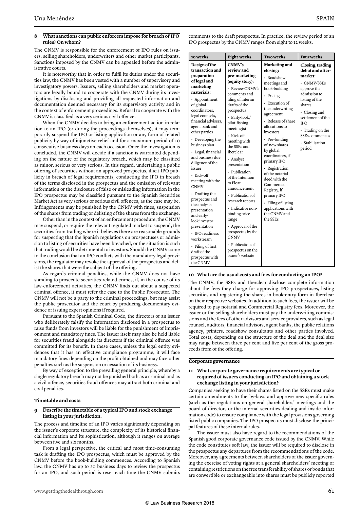#### **8 What sanctions can public enforcers impose for breach of IPO rules? On whom?**

The CNMV is responsible for the enforcement of IPO rules on issuers, selling shareholders, underwriters and other market participants. Sanctions imposed by the CNMV can be appealed before the administrative courts.

It is noteworthy that in order to fulfil its duties under the securities law, the CNMV has been vested with a number of supervisory and investigatory powers. Issuers, selling shareholders and market operators are legally bound to cooperate with the CNMV during its investigations by disclosing and providing all requested information and documentation deemed necessary for its supervisory activity and in the context of enforcement proceedings. Refusal to cooperate with the CNMV is classified as a very serious civil offence.

When the CNMV decides to bring an enforcement action in relation to an IPO (or during the proceedings themselves), it may temporarily suspend the IPO or listing application or any form of related publicity by way of injunctive relief and for a maximum period of 10 consecutive business days on each occasion. Once the investigation is concluded, the CNMV will decide if a sanction is warranted depending on the nature of the regulatory breach, which may be classified as minor, serious or very serious. In this regard, undertaking a public offering of securities without an approved prospectus, illicit IPO publicity in breach of legal requirements, conducting the IPO in breach of the terms disclosed in the prospectus and the omission of relevant information or the disclosure of false or misleading information in the IPO prospectus may be classified pursuant to the Spanish Securities Market Act as very serious or serious civil offences, as the case may be. Infringements may be punished by the CNMV with fines, suspension of the shares from trading or delisting of the shares from the exchange.

Other than in the context of an enforcement procedure, the CNMV may suspend, or require the relevant regulated market to suspend, the securities from trading where it believes there are reasonable grounds for suspecting that the Spanish regulations on prospectuses or admission to listing of securities have been breached, or the situation is such that trading would be detrimental to investors. Should the CNMV come to the conclusion that an IPO conflicts with the mandatory legal provisions, the regulator may revoke the approval of the prospectus and delist the shares that were the subject of the offering.

As regards criminal penalties, while the CNMV does not have standing to prosecute securities-related crimes, if, in the course of its law-enforcement activities, the CNMV finds out about a suspected criminal offence, it must refer the case to the Public Prosecutor. The CNMV will not be a party to the criminal proceedings, but may assist the public prosecutor and the court by producing documentary evidence or issuing expert opinions if required.

Pursuant to the Spanish Criminal Code, the directors of an issuer who deliberately falsify the information disclosed in a prospectus to raise funds from investors will be liable for the punishment of imprisonment and mandatory fines. The issuer itself may also be held liable for securities fraud alongside its directors if the criminal offence was committed for its benefit. In these cases, unless the legal entity evidences that it has an effective compliance programme, it will face mandatory fines depending on the profit obtained and may face other penalties such as the suspension or cessation of its business.

By way of exception to the prevailing general principle, whereby a single regulatory breach may not be punished both as a criminal and as a civil offence, securities fraud offences may attract both criminal and civil penalties.

#### **Timetable and costs**

#### **9 Describe the timetable of a typical IPO and stock exchange listing in your jurisdiction.**

The process and timeline of an IPO varies significantly depending on the issuer's corporate structure, the complexity of its historical financial information and its sophistication, although it ranges on average between five and six months.

From a legal perspective, the critical and most time-consuming task is drafting the IPO prospectus, which must be approved by the CNMV before the book-building commences. According to Spanish law, the CNMV has up to 20 business days to review the prospectus for an IPO, and such period is reset each time the CNMV submits comments to the draft prospectus. In practice, the review period of an IPO prospectus by the CNMV ranges from eight to 12 weeks.

| 10 weeks                                                                                                                                                                                                                                                                                                                                                                                                                                                                                                                                                                                                                 | <b>Eight</b> weeks                                                                                                                                                                                                                                                                                                                                                                                                                                                                                                                                                    | <b>Two weeks</b>                                                                                                                                                                                                                                                                                                                                                                                                                                                 | <b>Four weeks</b>                                                                                                                                                                                                                                            |
|--------------------------------------------------------------------------------------------------------------------------------------------------------------------------------------------------------------------------------------------------------------------------------------------------------------------------------------------------------------------------------------------------------------------------------------------------------------------------------------------------------------------------------------------------------------------------------------------------------------------------|-----------------------------------------------------------------------------------------------------------------------------------------------------------------------------------------------------------------------------------------------------------------------------------------------------------------------------------------------------------------------------------------------------------------------------------------------------------------------------------------------------------------------------------------------------------------------|------------------------------------------------------------------------------------------------------------------------------------------------------------------------------------------------------------------------------------------------------------------------------------------------------------------------------------------------------------------------------------------------------------------------------------------------------------------|--------------------------------------------------------------------------------------------------------------------------------------------------------------------------------------------------------------------------------------------------------------|
| Design of the<br>transaction and<br>preparation<br>of legal and<br>marketing<br>materials:<br>· Appointment<br>of global<br>coordinators.<br>legal counsels,<br>financial advisers,<br>agent bank and<br>other parties<br>$\cdot$ Developing the<br>business plan<br>· Legal, financial<br>and business due<br>diligence of the<br>issuer<br>• Kick-off<br>meeting with the<br><b>CNMV</b><br>$\cdot$ Drafting the<br>prospectus and<br>the analysts<br>presentation<br>and early-<br>look investor<br>presentation<br>· IPO readiness<br>workstream<br>· Filing of first<br>draft of the<br>prospectus with<br>the CNMV | CNMV's<br>review and<br>pre-marketing<br>(equity story):<br>· Review CNMV's<br>comments and<br>filing of interim<br>drafts of the<br>prospectus<br>· Early-look/<br>pilot-fishing<br>meeting(s)<br>· Kick-off<br>meeting with<br>the SSEs and<br>Iberclear<br>· Analyst<br>presentation<br>· Publication<br>of the Intention<br>to Float<br>announcement<br>· Publication of<br>research reports<br>· Indicative non-<br>binding price<br>range<br>• Approval of the<br>prospectus by the<br><b>CNMV</b><br>· Publication of<br>prospectus on the<br>issuer's website | Marketing and<br>closing:<br>· Roadshow<br>meetings and<br>book-building<br>· Pricing<br>· Execution of<br>the underwriting<br>agreement<br>· Release of share<br>allocations to<br>investors<br>• Pre-funding<br>of new shares<br>by global<br>coordinators, if<br>primary IPO<br>· Registration<br>of the notarial<br>deed with the<br>Commercial<br>Registry, if<br>primary IPO<br>$\cdot$ Filing of listing<br>applications with<br>the CNMV and<br>the SSEs | Closing, trading<br>debut and after-<br>market:<br>· CNMV/SSEs<br>approve the<br>admission to<br>listing of the<br>shares<br>$\cdot$ Closing and<br>settlement of the<br><b>IPO</b><br>$\cdot$ Trading on the<br>SSEs commences<br>· Stabilisation<br>period |

#### **10 What are the usual costs and fees for conducting an IPO?**

The CNMV, the SSEs and Iberclear disclose complete information about the fees they charge for approving IPO prospectuses, listing securities and registering the shares in book-entry form in Iberclear on their respective websites. In addition to such fees, the issuer will be required to pay notarial and Commercial Registry fees. Moreover, the issuer or the selling shareholders must pay the underwriting commissions and the fees of other advisors and service providers, such as legal counsel, auditors, financial advisors, agent banks, the public relations agency, printers, roadshow consultants and other parties involved. Total costs, depending on the structure of the deal and the deal size may range between three per cent and five per cent of the gross proceeds from of the offering.

#### **Corporate governance**

#### **11 What corporate governance requirements are typical or required of issuers conducting an IPO and obtaining a stock exchange listing in your jurisdiction?**

Companies seeking to have their shares listed on the SSEs must make certain amendments to the by-laws and approve new specific rules (such as the regulations on general shareholders' meetings and the board of directors or the internal securities dealing and inside information code) to ensure compliance with the legal provisions governing listed public companies. The IPO prospectus must disclose the principal features of these internal rules.

The issuer must also have regard to the recommendations of the Spanish good corporate governance code issued by the CNMV. While the code constitutes soft law, the issuer will be required to disclose in the prospectus any departures from the recommendations of the code. Moreover, any agreements between shareholders of the issuer governing the exercise of voting rights at a general shareholders' meeting or containing restrictions on the free transferability of shares or bonds that are convertible or exchangeable into shares must be publicly reported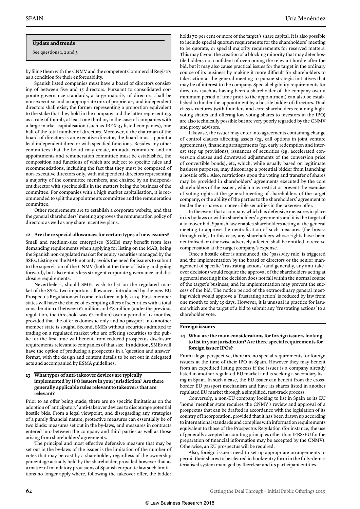#### **Update and trends**

See questions 1, 2 and 3.

by filing them with the CNMV and the competent Commercial Registry as a condition for their enforceability.

Spanish listed companies must have a board of directors consisting of between five and 15 directors. Pursuant to consolidated corporate governance standards, a large majority of directors shall be non-executive and an appropriate mix of proprietary and independent directors shall exist; the former representing a proportion equivalent to the stake that they hold in the company and the latter representing, as a rule of thumb, at least one third or, in the case of companies with a large market capitalisation (such as IBEX-35 listed companies), one half of the total number of directors. Moreover, if the chairman of the board of directors is an executive director, the board must appoint a lead independent director with specified functions. Besides any other committees that the board may create, an audit committee and an appointments and remuneration committee must be established, the composition and functions of which are subject to specific rules and recommendations, including the fact that they must be composed of non-executive directors only, with independent directors representing a majority of the committee members, and chaired by an independent director with specific skills in the matters being the business of the committee. For companies with a high market capitalisation, it is recommended to split the appointments committee and the remuneration committee.

Other requirements are to establish a corporate website, and that the general shareholders' meeting approves the remuneration policy of directors as well as any share incentive plans.

#### **12 Are there special allowances for certain types of new issuers?**

Small and medium-size enterprises (SMEs) may benefit from less demanding requirements when applying for listing on the MAB, being the Spanish non-regulated market for equity securities managed by the SSEs. Listing on the MAB not only avoids the need for issuers to submit to the supervision of the CNMV (both at the time of listing and going forward), but also entails less stringent corporate governance and disclosure requirements.

Nevertheless, should SMEs wish to list on the regulated market of the SSEs, two important allowances introduced by the new EU Prospectus Regulation will come into force in July 2019. First, member states will have the choice of exempting offers of securities with a total consideration of between €1 million and €8 million (under the previous regulation, the threshold was  $\epsilon$ 5 million) over a period of 12 months, provided that the offer is domestic only and no passport into another member state is sought. Second, SMEs without securities admitted to trading on a regulated market who are offering securities to the public for the first time will benefit from reduced prospectus disclosure requirements relevant to companies of that size. In addition, SMEs will have the option of producing a prospectus in a 'question and answer' format, with the design and content details to be set out in delegated acts and accompanied by ESMA guidelines.

#### **13 What types of anti-takeover devices are typically implemented by IPO issuers in your jurisdiction? Are there generally applicable rules relevant to takeovers that are relevant?**

Prior to an offer being made, there are no specific limitations on the adoption of 'anticipatory' anti-takeover devices to discourage potential hostile bids. From a legal viewpoint, and disregarding any strategies of a purely financial nature, protective measures can essentially be of two kinds: measures set out in the by-laws, and measures in contracts entered into between the company and third parties as well as those arising from shareholders' agreements.

The principal and most effective defensive measure that may be set out in the by-laws of the issuer is the limitation of the number of votes that may be cast by a shareholder, regardless of the ownership percentage actually held by the shareholder, provided however that as a matter of mandatory provisions of Spanish corporate law such limitations no longer apply where, following the takeover offer, the bidder

holds 70 per cent or more of the target's share capital. It is also possible to include special quorum requirements for the shareholders' meeting to be quorate, or special majority requirements for reserved matters. This may favour the creation of a blocking minority that may deter hostile bidders not confident of overcoming the relevant hurdle after the bid, but it may also cause practical issues for the target in the ordinary course of its business by making it more difficult for shareholders to take action at the general meeting to pursue strategic initiatives that may be of interest to the company. Special eligibility requirements for directors (such as having been a shareholder of the company over a minimum period of time prior to the appointment) can also be established to hinder the appointment by a hostile bidder of directors. Dual class structures (with founders and core shareholders retaining highvoting shares and offering low-voting shares to investors in the IPO) are also technically possible but are very poorly regarded by the CNMV and proxy advisors.

Likewise, the issuer may enter into agreements containing change of control clauses affecting assets (eg, call options in joint venture agreements), financing arrangements (eg, early redemption and interest step up provisions), issuances of securities (eg, accelerated conversion clauses and downward adjustments of the conversion price of convertible bonds), etc, which, while usually based on legitimate business purposes, may discourage a potential bidder from launching a hostile offer. Also, restrictions upon the voting and transfer of shares may be provided in shareholders' agreements executed by the core shareholders of the issuer , which may restrict or prevent the exercise of voting rights at the general meeting of shareholders of the target company, or the ability of the parties to the shareholders' agreement to tender their shares or convertible securities in the takeover offer.

In the event that a company which has defensive measures in place in its by-laws or within shareholders' agreements and it is the target of a takeover bid, Spanish law enables shareholders acting at the general meeting to approve the neutralisation of such measures (the breakthrough rule). In this case, any shareholders whose rights have been neutralised or otherwise adversely affected shall be entitled to receive compensation at the target company's expense.

Once a hostile offer is announced, the 'passivity rule' is triggered and the implementation by the board of directors or the senior management of specific 'frustrating actions' (and generally, any anti-takeover decision) would require the approval of the shareholders acting at a general meeting if the decision does not fall within the normal course of the target's business; and its implementation may prevent the success of the bid. The notice period of the extraordinary general meeting which would approve a 'frustrating action' is reduced by law from one month to only 15 days. However, it is unusual in practice for issuers which are the target of a bid to submit any 'frustrating actions' to a shareholder vote.

#### **Foreign issuers**

#### **14 What are the main considerations for foreign issuers looking to list in your jurisdiction? Are there special requirements for foreign issuer IPOs?**

From a legal perspective, there are no special requirements for foreign issuers at the time of their IPO in Spain. However they may benefit from an expedited listing process if the issuer is a company already listed in another regulated EU market and is seeking a secondary listing in Spain. In such a case, the EU issuer can benefit from the crossborder EU passport mechanism and have its shares listed in another regulated EU market through a simplified, fast-track process.

Conversely, a non-EU company looking to list in Spain as its EU 'home' member state requires the CNMV's review and approval of a prospectus that can be drafted in accordance with the legislation of its country of incorporation, provided that it has been drawn up according to international standards and complies with information requirements equivalent to those of the Prospectus Regulation (for instance, the use of generally accepted accounting principles other than IFRS-EU for the preparation of financial information may be accepted by the CNMV). Otherwise, an EU prospectus will be required.

Also, foreign issuers need to set up appropriate arrangements to permit their shares to be cleared in book-entry form in the fully-dematerialised system managed by Iberclear and its participant entities.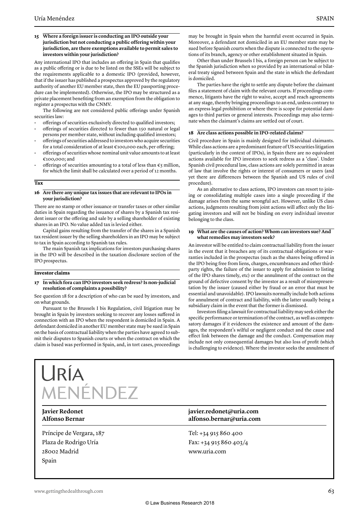#### **15 Where a foreign issuer is conducting an IPO outside your jurisdiction but not conducting a public offering within your jurisdiction, are there exemptions available to permit sales to investors within your jurisdiction?**

Any international IPO that includes an offering in Spain that qualifies as a public offering or is due to be listed on the SSEs will be subject to the requirements applicable to a domestic IPO (provided, however, that if the issuer has published a prospectus approved by the regulatory authority of another EU member state, then the EU passporting procedure can be implemented). Otherwise, the IPO may be structured as a private placement benefiting from an exemption from the obligation to register a prospectus with the CNMV.

The following are not considered public offerings under Spanish securities law:

- offerings of securities exclusively directed to qualified investors;
- offerings of securities directed to fewer than 150 natural or legal persons per member state, without including qualified investors;
- offerings of securities addressed to investors who acquire securities for a total consideration of at least €100,000 each, per offering;
- offerings of securities whose nominal unit value amounts to at least €100,000; and
- offerings of securities amounting to a total of less than  $\epsilon_5$  million, for which the limit shall be calculated over a period of 12 months.

**Tax**

#### **16 Are there any unique tax issues that are relevant to IPOs in your jurisdiction?**

There are no stamp or other issuance or transfer taxes or other similar duties in Spain regarding the issuance of shares by a Spanish tax resident issuer or the offering and sale by a selling shareholder of existing shares in an IPO. No value added tax is levied either.

Capital gains resulting from the transfer of the shares in a Spanish tax resident issuer by the selling shareholders in an IPO may be subject to tax in Spain according to Spanish tax rules.

The main Spanish tax implications for investors purchasing shares in the IPO will be described in the taxation disclosure section of the IPO prospectus.

#### **Investor claims**

#### **17 In which fora can IPO investors seek redress? Is non-judicial resolution of complaints a possibility?**

See question 18 for a description of who can be sued by investors, and on what grounds.

Pursuant to the Brussels I bis Regulation, civil litigation may be brought in Spain by investors seeking to recover any losses suffered in connection with an IPO when the respondent is domiciled in Spain. A defendant domiciled in another EU member state may be sued in Spain on the basis of contractual liability when the parties have agreed to submit their disputes to Spanish courts or when the contract on which the claim is based was performed in Spain, and, in tort cases, proceedings may be brought in Spain when the harmful event occurred in Spain. Moreover, a defendant not domiciled in an EU member state may be sued before Spanish courts when the dispute is connected to the operations of its branch, agency or other establishment situated in Spain.

Other than under Brussels I bis, a foreign person can be subject to the Spanish jurisdiction when so provided by an international or bilateral treaty signed between Spain and the state in which the defendant is domiciled.

The parties have the right to settle any dispute before the claimant files a statement of claim with the relevant courts. If proceedings commence, litigants have the right to waive, accept and reach agreements at any stage, thereby bringing proceedings to an end, unless contrary to an express legal prohibition or where there is scope for potential damages to third parties or general interests. Proceedings may also terminate when the claimant's claims are settled out of court.

#### **18 Are class actions possible in IPO-related claims?**

Civil procedure in Spain is mainly designed for individual claimants. While class actions are a predominant feature of US securities litigation (particularly in the context of IPOs), in Spain there are no equivalent actions available for IPO investors to seek redress as a 'class'. Under Spanish civil procedural law, class actions are solely permitted in areas of law that involve the rights or interest of consumers or users (and yet there are differences between the Spanish and US rules of civil procedure).

As an alternative to class actions, IPO investors can resort to joining or consolidating multiple cases into a single proceeding if the damage arises from the same wrongful act. However, unlike US class actions, judgments resulting from joint actions will affect only the litigating investors and will not be binding on every individual investor belonging to the class.

#### **19 What are the causes of action? Whom can investors sue? And what remedies may investors seek?**

An investor will be entitled to claim contractual liability from the issuer in the event that it breaches any of its contractual obligations or warranties included in the prospectus (such as the shares being offered in the IPO being free from liens, charges, encumbrances and other thirdparty rights, the failure of the issuer to apply for admission to listing of the IPO shares timely, etc) or the annulment of the contract on the ground of defective consent by the investor as a result of misrepresentation by the issuer (caused either by fraud or an error that must be essential and unavoidable). IPO lawsuits normally include both actions for annulment of contract and liability, with the latter usually being a subsidiary claim in the event that the former is dismissed.

Investors filing a lawsuit for contractual liability may seek either the specific performance or termination of the contract, as well as compensatory damages if it evidences the existence and amount of the damages, the respondent's wilful or negligent conduct and the cause and effect link between the damage and the conduct. Compensation may include not only consequential damages but also loss of profit (which is challenging to evidence). Where the investor seeks the annulment of

# IENÉNDEZ

LIRIA

Príncipe de Vergara, 187 Plaza de Rodrigo Uría 28002 Madrid Spain

#### **Javier Redonet javier.redonet@uria.com Alfonso Bernar alfonso.bernar@uria.com**

Tel: +34 915 860 400 Fax: +34 915 860 403/4 www.uria.com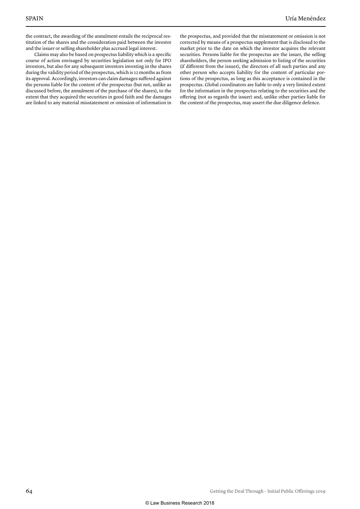the contract, the awarding of the annulment entails the reciprocal restitution of the shares and the consideration paid between the investor and the issuer or selling shareholder plus accrued legal interest.

Claims may also be based on prospectus liability which is a specific course of action envisaged by securities legislation not only for IPO investors, but also for any subsequent investors investing in the shares during the validity period of the prospectus, which is 12 months as from its approval. Accordingly, investors can claim damages suffered against the persons liable for the content of the prospectus (but not, unlike as discussed before, the annulment of the purchase of the shares), to the extent that they acquired the securities in good faith and the damages are linked to any material misstatement or omission of information in the prospectus, and provided that the misstatement or omission is not corrected by means of a prospectus supplement that is disclosed to the market prior to the date on which the investor acquires the relevant securities. Persons liable for the prospectus are the issuer, the selling shareholders, the person seeking admission to listing of the securities (if different from the issuer), the directors of all such parties and any other person who accepts liability for the content of particular portions of the prospectus, as long as this acceptance is contained in the prospectus. Global coordinators are liable to only a very limited extent for the information in the prospectus relating to the securities and the offering (not as regards the issuer) and, unlike other parties liable for the content of the prospectus, may assert the due diligence defence.